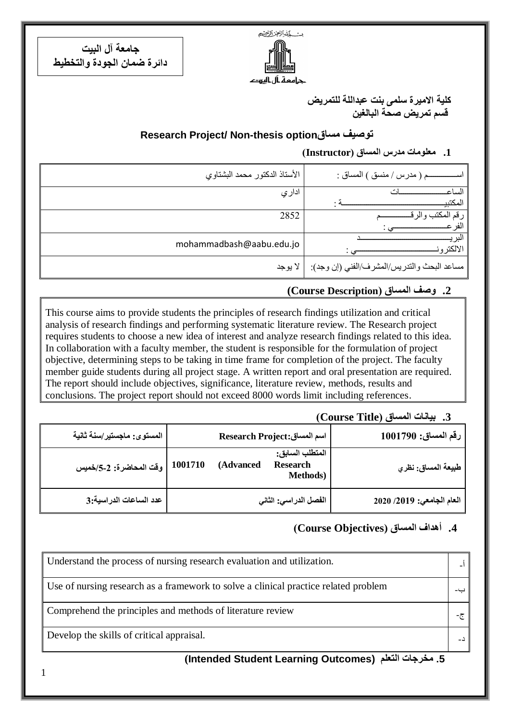يست كمشرالجز الرخيج

جرامعة أل اليرود

**جامعة آل البيت دائرة ضمان الجودة والتخطيط**

1

**كلية االميرة سلمى بنت عبداللة للتمريض قسم تمريض صحة البالغين**

### **Research Project/ Non-thesis optionمساق توصيف**

### **.1 معلومات مدرس المساق )Instructor)**

| الأستاذ الدكتور محمد البشتاوي | م ( مدرس / منسق ) المساق :                            |
|-------------------------------|-------------------------------------------------------|
| ادار ي                        | الساع<br>المكتبي                                      |
| 2852                          | ر قم                                                  |
| mohammadbash@aabu.edu.jo      | الالكتر و                                             |
|                               | مساعد البحث والندريس/المشرف/الفني (إن وجد):   لا يوجد |

### **.2 وصف المساق )Description Course(**

This course aims to provide students the principles of research findings utilization and critical analysis of research findings and performing systematic literature review. The Research project requires students to choose a new idea of interest and analyze research findings related to this idea. In collaboration with a faculty member, the student is responsible for the formulation of project objective, determining steps to be taking in time frame for completion of the project. The faculty member guide students during all project stage. A written report and oral presentation are required. The report should include objectives, significance, literature review, methods, results and conclusions. The project report should not exceed 8000 words limit including references.

### **1.** بيانات المساق (Course Title)

| رقم المساق: 1001790       | <b>Research Project:</b> اسم المساق                                 |         | المستوى: ماجستير/سنة ثانية |
|---------------------------|---------------------------------------------------------------------|---------|----------------------------|
| طبيعة المساق: نظري        | المتطلب السابق:<br><b>Research</b><br>(Advanced<br><b>Methods</b> ) | 1001710 | وفّت المحاضرة: 2-5/خميس    |
| العام الجامعي: 2019/ 2020 | الفصل الدراسي: الثاني                                               |         | عدد الساعات الدراسية:3     |

### **.4 أهداف المساق )ِObjectives Course)**

| Understand the process of nursing research evaluation and utilization.              |  |
|-------------------------------------------------------------------------------------|--|
| Use of nursing research as a framework to solve a clinical practice related problem |  |
| Comprehend the principles and methods of literature review                          |  |
| Develop the skills of critical appraisal.                                           |  |

### **(Intended Student Learning Outcomes) التعلم مخرجات .5**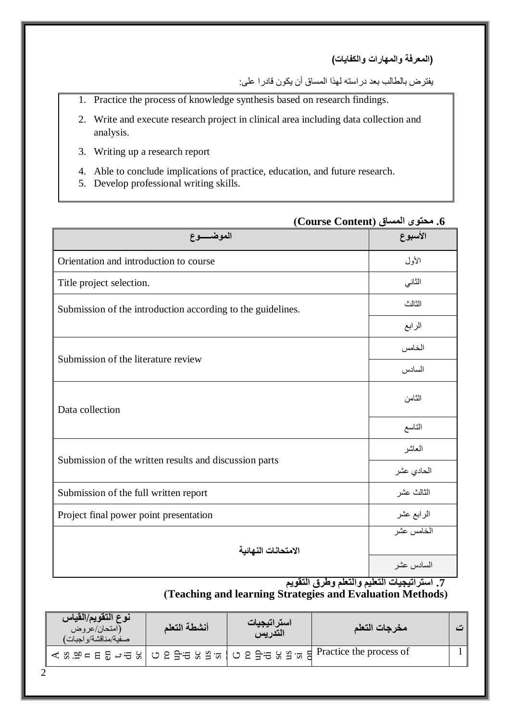**)المعرفة والمهارات والكفايات(**

يفترض بالطالب بعد دراسته لهذا المساق أن يكون قادرا على:

- 1. Practice the process of knowledge synthesis based on research findings.
- 2. Write and execute research project in clinical area including data collection and analysis.
- 3. Writing up a research report
- 4. Able to conclude implications of practice, education, and future research.
- 5. Develop professional writing skills.

|                                                             | 0. محتوي المساق (Course Content) |
|-------------------------------------------------------------|----------------------------------|
| الموضــــوع                                                 | الأسبوع                          |
| Orientation and introduction to course                      | الأول                            |
| Title project selection.                                    | الثاني                           |
| Submission of the introduction according to the guidelines. | الثالث                           |
|                                                             | الرابع                           |
|                                                             | الخامس                           |
| Submission of the literature review                         | السادس                           |
| Data collection                                             | الثامن                           |
|                                                             | التاسع                           |
|                                                             | العاشر                           |
| Submission of the written results and discussion parts      | الحادي عشر                       |
| Submission of the full written report                       | الثالث عشر                       |
| Project final power point presentation                      | الرابع عشر                       |
|                                                             | الخامس عشر                       |
| الامتحانات النهائية                                         |                                  |
|                                                             | السادس عشر                       |

**.6 محتوى المساق )Content Course)**

**.7 استراتيجيات التعليم والتعلم وطرق التقويم**

s.

**)Teaching and learning Strategies and Evaluation Methods(**

| نوع التقويم/القياس<br>(امتحان/عروض<br>همفية/مناقشة/واجبات) | أنشطة التعلم | استراتيجيات<br>التدريس | مخرجات التعلم                                                                    |  |
|------------------------------------------------------------|--------------|------------------------|----------------------------------------------------------------------------------|--|
|                                                            |              |                        | ' < ឌ.ម = 日 ਛ - ਚ ឧ   Ό ဥ ∃ਚ ឧ ខ ៵   Ό ဥ 글ਚ ឧ ខ ៵ ៵ = ਵਿ Practice the process of |  |
|                                                            |              |                        |                                                                                  |  |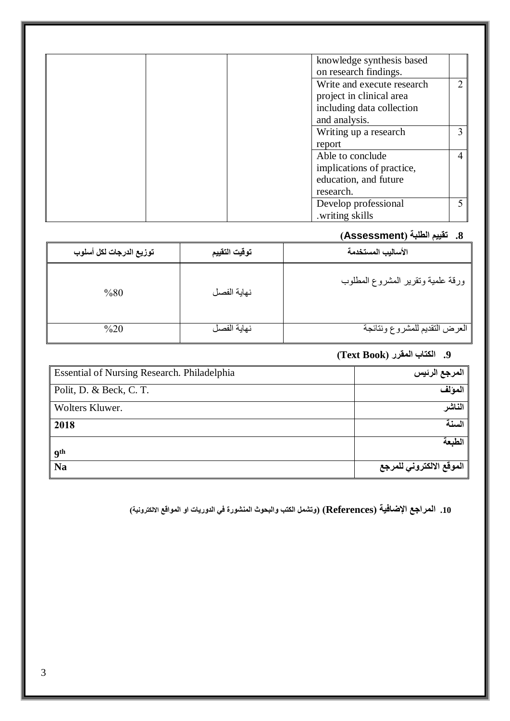| knowledge synthesis based                                 |
|-----------------------------------------------------------|
| on research findings.                                     |
| $\mathcal{D}_{\mathcal{L}}$<br>Write and execute research |
| project in clinical area                                  |
| including data collection                                 |
| and analysis.                                             |
| 3<br>Writing up a research                                |
| report                                                    |
| Able to conclude<br>4                                     |
| implications of practice,                                 |
| education, and future                                     |
| research.                                                 |
| Develop professional                                      |
| .writing skills                                           |

# **.8 تقييم الطلبة )Assessment)**

| توزيع الدرجات لكل أسلوب | توقيت التقييم | الأساليب المستخدمة                |
|-------------------------|---------------|-----------------------------------|
| %80                     | نهاية الفصل   | ورقة علمية وتقرير المشروع المطلوب |
| $\%20$                  | نهاية الفصل   | العرض التقديم للمشروع ونتائجة     |

# **.9 الكتاب المقرر )Book Text)**

| Essential of Nursing Research. Philadelphia | المرجع الرئيس            |
|---------------------------------------------|--------------------------|
| Polit, D. & Beck, C. T.                     | المولف                   |
| Wolters Kluwer.                             | الناشر                   |
| 2018                                        | السنة                    |
| <b>9th</b>                                  | الطبعة                   |
| <b>Na</b>                                   | الموقع الالكتروني للمرجع |

**.10 المراجع اإلضافية )References( )وتشمل الكتب والبحوث المنشورة في الدوريات او المواقع االلكترونية(**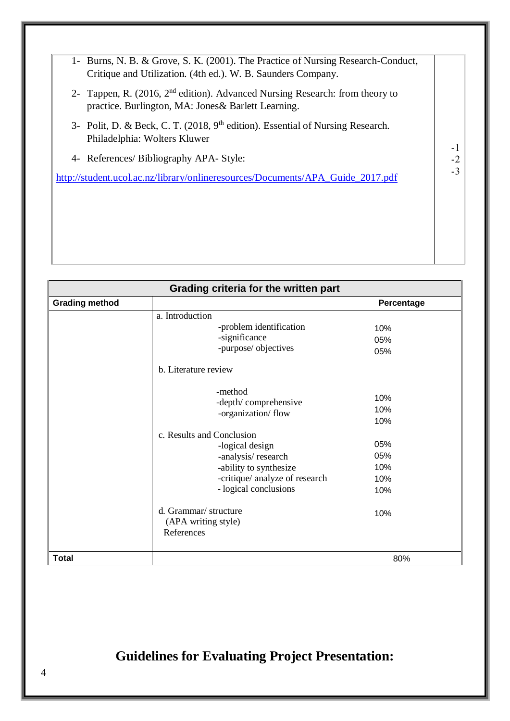-1 -2 -3 1- Burns, N. B. & Grove, S. K. (2001). The Practice of Nursing Research-Conduct, Critique and Utilization. (4th ed.). W. B. Saunders Company. 2- Tappen, R. (2016, 2nd edition). Advanced Nursing Research: from theory to practice. Burlington, MA: Jones& Barlett Learning. 3- Polit, D. & Beck, C. T. (2018, 9<sup>th</sup> edition). Essential of Nursing Research. Philadelphia: Wolters Kluwer 4- References/ Bibliography APA- Style: [http://student.ucol.ac.nz/library/onlineresources/Documents/APA\\_Guide\\_2017.pdf](http://student.ucol.ac.nz/library/onlineresources/Documents/APA_Guide_2017.pdf)

| Grading criteria for the written part |                                                                                                                                                         |                                 |  |  |  |
|---------------------------------------|---------------------------------------------------------------------------------------------------------------------------------------------------------|---------------------------------|--|--|--|
| <b>Grading method</b>                 |                                                                                                                                                         | Percentage                      |  |  |  |
|                                       | a. Introduction<br>-problem identification<br>-significance<br>-purpose/ objectives<br>b. Literature review                                             | 10%<br>05%<br>05%               |  |  |  |
|                                       | -method<br>-depth/comprehensive<br>-organization/flow                                                                                                   | 10%<br>10%<br>10%               |  |  |  |
|                                       | c. Results and Conclusion<br>-logical design<br>-analysis/research<br>-ability to synthesize<br>-critique/ analyze of research<br>- logical conclusions | 05%<br>05%<br>10%<br>10%<br>10% |  |  |  |
|                                       | d. Grammar/ structure<br>(APA writing style)<br>References                                                                                              | 10%                             |  |  |  |
| <b>Total</b>                          |                                                                                                                                                         | 80%                             |  |  |  |

# **Guidelines for Evaluating Project Presentation:**